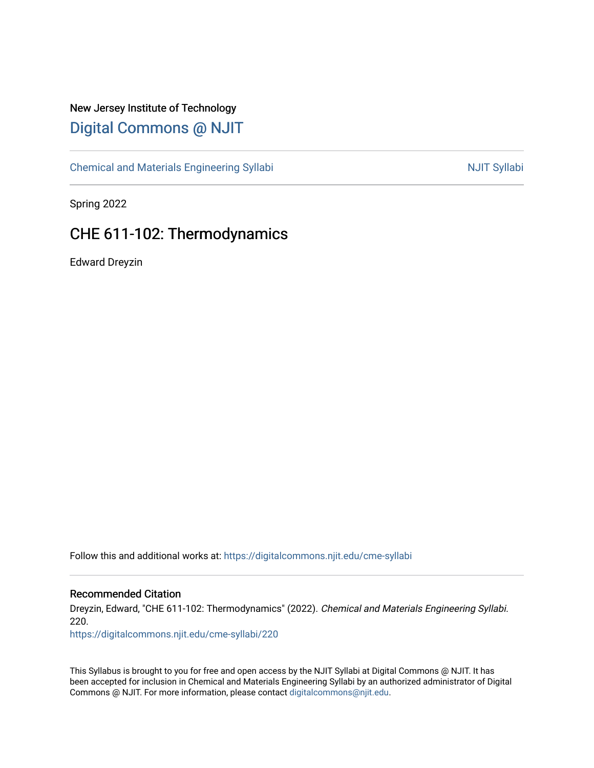# New Jersey Institute of Technology [Digital Commons @ NJIT](https://digitalcommons.njit.edu/)

[Chemical and Materials Engineering Syllabi](https://digitalcommons.njit.edu/cme-syllabi) Nulle and Syllabi Nulle Syllabi Nulle and Materials Engineering Syllabi

Spring 2022

# CHE 611-102: Thermodynamics

Edward Dreyzin

Follow this and additional works at: [https://digitalcommons.njit.edu/cme-syllabi](https://digitalcommons.njit.edu/cme-syllabi?utm_source=digitalcommons.njit.edu%2Fcme-syllabi%2F220&utm_medium=PDF&utm_campaign=PDFCoverPages) 

#### Recommended Citation

Dreyzin, Edward, "CHE 611-102: Thermodynamics" (2022). Chemical and Materials Engineering Syllabi. 220.

[https://digitalcommons.njit.edu/cme-syllabi/220](https://digitalcommons.njit.edu/cme-syllabi/220?utm_source=digitalcommons.njit.edu%2Fcme-syllabi%2F220&utm_medium=PDF&utm_campaign=PDFCoverPages) 

This Syllabus is brought to you for free and open access by the NJIT Syllabi at Digital Commons @ NJIT. It has been accepted for inclusion in Chemical and Materials Engineering Syllabi by an authorized administrator of Digital Commons @ NJIT. For more information, please contact [digitalcommons@njit.edu.](mailto:digitalcommons@njit.edu)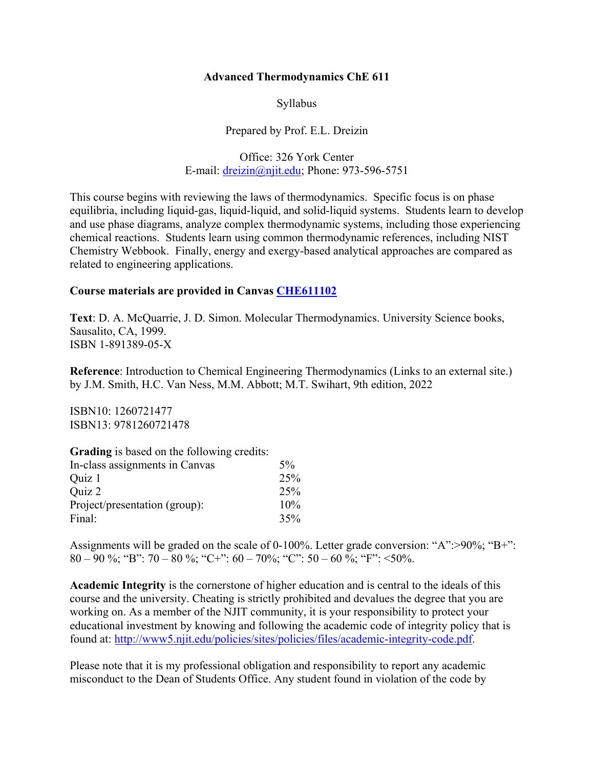## **Advanced Thermodynamics ChE 611**

Syllabus

Prepared by Prof. E.L. Dreizin

Office: 326 York Center E-mail: [dreizin@njit.edu;](mailto:dreizin@njit.edu) Phone: 973-596-5751

This course begins with reviewing the laws of thermodynamics. Specific focus is on phase equilibria, including liquid-gas, liquid-liquid, and solid-liquid systems. Students learn to develop and use phase diagrams, analyze complex thermodynamic systems, including those experiencing chemical reactions. Students learn using common thermodynamic references, including NIST Chemistry Webbook. Finally, energy and exergy-based analytical approaches are compared as related to engineering applications.

## **Course materials are provided in Canvas [CHE611102](https://njit.instructure.com/courses/20965/assignments/syllabus)**

**Text**: D. A. McQuarrie, J. D. Simon. Molecular Thermodynamics. University Science books, Sausalito, CA, 1999. ISBN 1-891389-05-X

**Reference**: Introduction to Chemical Engineering Thermodynamics (Links to an external site.) by J.M. Smith, H.C. Van Ness, M.M. Abbott; M.T. Swihart, 9th edition, 2022

ISBN10: 1260721477 ISBN13: 9781260721478

| Grading is based on the following credits: |  |
|--------------------------------------------|--|
|--------------------------------------------|--|

| In-class assignments in Canvas | $5\%$ |
|--------------------------------|-------|
| Ouiz 1                         | 25%   |
| Quiz 2                         | 25%   |
| Project/presentation (group):  | 10%   |
| Final:                         | 35%   |

Assignments will be graded on the scale of 0-100%. Letter grade conversion: "A":>90%; "B+": 80 – 90 %; "B": 70 – 80 %; "C+": 60 – 70%; "C": 50 – 60 %; "F": <50%.

**Academic Integrity** is the cornerstone of higher education and is central to the ideals of this course and the university. Cheating is strictly prohibited and devalues the degree that you are working on. As a member of the NJIT community, it is your responsibility to protect your educational investment by knowing and following the academic code of integrity policy that is found at: [http://www5.njit.edu/policies/sites/policies/files/academic-integrity-code.pdf.](http://www5.njit.edu/policies/sites/policies/files/academic-integrity-code.pdf)

Please note that it is my professional obligation and responsibility to report any academic misconduct to the Dean of Students Office. Any student found in violation of the code by